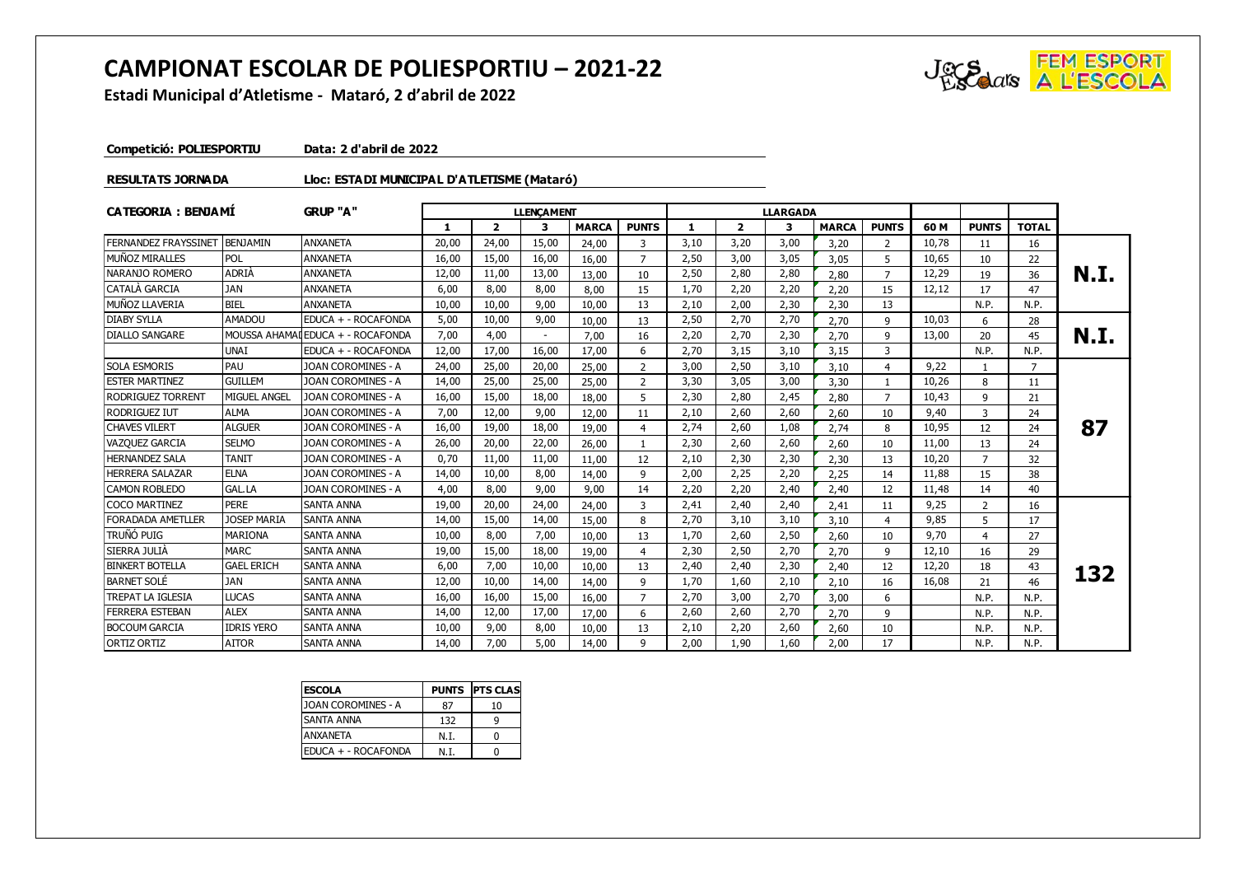## **CAMPIONAT ESCOLAR DE POLIESPORTIU – 2021-22**



**Estadi Municipal d'Atletisme - Mataró, 2 d'abril de 2022**

**Competició: POLIESPORTIU Data: 2 d'abril de 2022**

## **RESULTATS JORNADA Lloc: ESTADI MUNICIPAL D'ATLETISME (Mataró)**

| <b>CATEGORIA: BENJAMI</b>   |                     | <b>GRUP "A"</b>              | <b>LLENCAMENT</b> |              |                          |              |                |      |                | <b>LLARGADA</b> |              |                |       |                |                |      |
|-----------------------------|---------------------|------------------------------|-------------------|--------------|--------------------------|--------------|----------------|------|----------------|-----------------|--------------|----------------|-------|----------------|----------------|------|
|                             |                     |                              | $\mathbf{1}$      | $\mathbf{z}$ | 3                        | <b>MARCA</b> | <b>PUNTS</b>   |      | $\overline{2}$ | 3               | <b>MARCA</b> | <b>PUNTS</b>   | 60 M  | <b>PUNTS</b>   | <b>TOTAL</b>   |      |
| <b>FERNANDEZ FRAYSSINET</b> | BENJAMIN            | <b>ANXANETA</b>              | 20,00             | 24,00        | 15,00                    | 24,00        | 3              | 3,10 | 3,20           | 3,00            | 3,20         | 2              | 10.78 | 11             | 16             |      |
| MUÑOZ MIRALLES              | POL                 | <b>ANXANETA</b>              | 16,00             | 15,00        | 16,00                    | 16,00        | $\overline{7}$ | 2,50 | 3,00           | 3,05            | 3,05         | 5              | 10,65 | 10             | 22             |      |
| NARANJO ROMERO              | <b>ADRIA</b>        | <b>ANXANETA</b>              | 12,00             | 11,00        | 13,00                    | 13,00        | 10             | 2,50 | 2,80           | 2,80            | 2,80         | $\overline{7}$ | 12,29 | 19             | 36             | N.I. |
| CATALA GARCIA               | <b>JAN</b>          | <b>ANXANETA</b>              | 6,00              | 8,00         | 8,00                     | 8,00         | 15             | 1,70 | 2,20           | 2,20            | 2,20         | 15             | 12,12 | 17             | 47             |      |
| MUÑOZ LLAVERIA              | <b>BIEL</b>         | <b>ANXANETA</b>              | 10,00             | 10,00        | 9,00                     | 10,00        | 13             | 2.10 | 2,00           | 2,30            | 2,30         | 13             |       | N.P.           | N.P.           |      |
| <b>DIABY SYLLA</b>          | AMADOU              | EDUCA + - ROCAFONDA          | 5,00              | 10,00        | 9,00                     | 10,00        | 13             | 2,50 | 2,70           | 2,70            | 2.70         | 9              | 10,03 | 6              | 28             |      |
| <b>DIALLO SANGARE</b>       | <b>MOUSSA AHAMA</b> | <b>I</b> EDUCA + - ROCAFONDA | 7,00              | 4,00         | $\overline{\phantom{a}}$ | 7,00         | 16             | 2,20 | 2,70           | 2,30            | 2,70         | 9              | 13,00 | 20             | 45             | N.I. |
|                             | <b>UNAI</b>         | EDUCA + - ROCAFONDA          | 12,00             | 17,00        | 16,00                    | 17,00        | 6              | 2,70 | 3,15           | 3,10            | 3,15         | 3              |       | N.P.           | N.P.           |      |
| <b>SOLA ESMORIS</b>         | <b>PAU</b>          | JOAN COROMINES - A           | 24,00             | 25,00        | 20,00                    | 25,00        | 2              | 3,00 | 2,50           | 3,10            | 3,10         | 4              | 9,22  | -1             | $\overline{7}$ |      |
| <b>ESTER MARTINEZ</b>       | <b>GUILLEM</b>      | JOAN COROMINES - A           | 14,00             | 25,00        | 25,00                    | 25,00        | 2              | 3,30 | 3,05           | 3,00            | 3,30         | $\mathbf{1}$   | 10,26 | 8              | 11             |      |
| <b>RODRIGUEZ TORRENT</b>    | MIGUEL ANGEL        | <b>JOAN COROMINES - A</b>    | 16,00             | 15,00        | 18,00                    | 18,00        | 5              | 2,30 | 2,80           | 2,45            | 2,80         | $\overline{7}$ | 10,43 | 9              | 21             |      |
| <b>RODRIGUEZ IUT</b>        | ALMA                | JOAN COROMINES - A           | 7,00              | 12,00        | 9,00                     | 12,00        | 11             | 2.10 | 2,60           | 2,60            | 2,60         | 10             | 9,40  | 3              | 24             |      |
| <b>CHAVES VILERT</b>        | <b>ALGUER</b>       | JOAN COROMINES - A           | 16,00             | 19,00        | 18,00                    | 19,00        | 4              | 2,74 | 2,60           | 1,08            | 2,74         | 8              | 10,95 | 12             | 24             | 87   |
| <b>VAZQUEZ GARCIA</b>       | <b>SELMO</b>        | <b>JOAN COROMINES - A</b>    | 26,00             | 20,00        | 22,00                    | 26,00        |                | 2,30 | 2,60           | 2,60            | 2.60         | 10             | 11,00 | 13             | 24             |      |
| <b>HERNANDEZ SALA</b>       | <b>TANIT</b>        | JOAN COROMINES - A           | 0,70              | 11,00        | 11,00                    | 11,00        | 12             | 2,10 | 2,30           | 2,30            | 2,30         | 13             | 10,20 | $\overline{7}$ | 32             |      |
| <b>HERRERA SALAZAR</b>      | <b>ELNA</b>         | JOAN COROMINES - A           | 14,00             | 10,00        | 8,00                     | 14,00        | 9              | 2,00 | 2,25           | 2,20            | 2,25         | 14             | 11,88 | 15             | 38             |      |
| <b>CAMON ROBLEDO</b>        | GAL.LA              | <b>JOAN COROMINES - A</b>    | 4,00              | 8,00         | 9,00                     | 9,00         | 14             | 2,20 | 2,20           | 2,40            | 2,40         | 12             | 11,48 | 14             | 40             |      |
| <b>COCO MARTINEZ</b>        | <b>PERE</b>         | <b>SANTA ANNA</b>            | 19,00             | 20,00        | 24,00                    | 24,00        | 3              | 2,41 | 2,40           | 2,40            | 2,41         | 11             | 9,25  | 2              | 16             |      |
| <b>FORADADA AMETLLER</b>    | <b>JOSEP MARIA</b>  | <b>SANTA ANNA</b>            | 14,00             | 15,00        | 14,00                    | 15,00        | 8              | 2,70 | 3,10           | 3,10            | 3.10         | 4              | 9,85  | 5              | 17             |      |
| truñó puig                  | <b>MARIONA</b>      | <b>SANTA ANNA</b>            | 10,00             | 8,00         | 7,00                     | 10,00        | 13             | 1,70 | 2,60           | 2,50            | 2.60         | 10             | 9,70  | $\overline{4}$ | 27             |      |
| SIERRA JULIA                | <b>MARC</b>         | <b>SANTA ANNA</b>            | 19,00             | 15,00        | 18,00                    | 19,00        | 4              | 2,30 | 2,50           | 2,70            | 2,70         | 9              | 12,10 | 16             | 29             |      |
| <b>BINKERT BOTELLA</b>      | <b>GAEL ERICH</b>   | <b>SANTA ANNA</b>            | 6,00              | 7.00         | 10,00                    | 10,00        | 13             | 2,40 | 2,40           | 2,30            | 2,40         | 12             | 12,20 | 18             | 43             | 132  |
| <b>BARNET SOLE</b>          | <b>JAN</b>          | <b>SANTA ANNA</b>            | 12,00             | 10,00        | 14,00                    | 14,00        | 9              | 1,70 | 1,60           | 2,10            | 2,10         | 16             | 16,08 | 21             | 46             |      |
| <b>TREPAT LA IGLESIA</b>    | <b>LUCAS</b>        | <b>SANTA ANNA</b>            | 16,00             | 16,00        | 15,00                    | 16,00        | $\overline{7}$ | 2,70 | 3,00           | 2,70            | 3.00         | 6              |       | N.P.           | N.P.           |      |
| <b>FERRERA ESTEBAN</b>      | <b>ALEX</b>         | <b>SANTA ANNA</b>            | 14,00             | 12,00        | 17,00                    | 17,00        | 6              | 2,60 | 2,60           | 2,70            | 2,70         | 9              |       | N.P.           | N.P.           |      |
| <b>BOCOUM GARCIA</b>        | <b>IDRIS YERO</b>   | <b>SANTA ANNA</b>            | 10,00             | 9,00         | 8,00                     | 10,00        | 13             | 2,10 | 2,20           | 2,60            | 2,60         | 10             |       | N.P.           | N.P.           |      |
| ORTIZ ORTIZ                 | <b>AITOR</b>        | <b>SANTA ANNA</b>            | 14,00             | 7.00         | 5,00                     | 14,00        | 9              | 2,00 | 1,90           | 1,60            | 2,00         | 17             |       | N.P.           | N.P.           |      |

| <b>IESCOLA</b>              |      | <b>PUNTS PTS CLAS</b> |
|-----------------------------|------|-----------------------|
| <b>JOAN COROMINES - A</b>   | 87   | 10                    |
| <b>SANTA ANNA</b>           | 132  | q                     |
| <b>ANXANETA</b>             | N.T. |                       |
| <b>IEDUCA + - ROCAFONDA</b> | N.T. |                       |